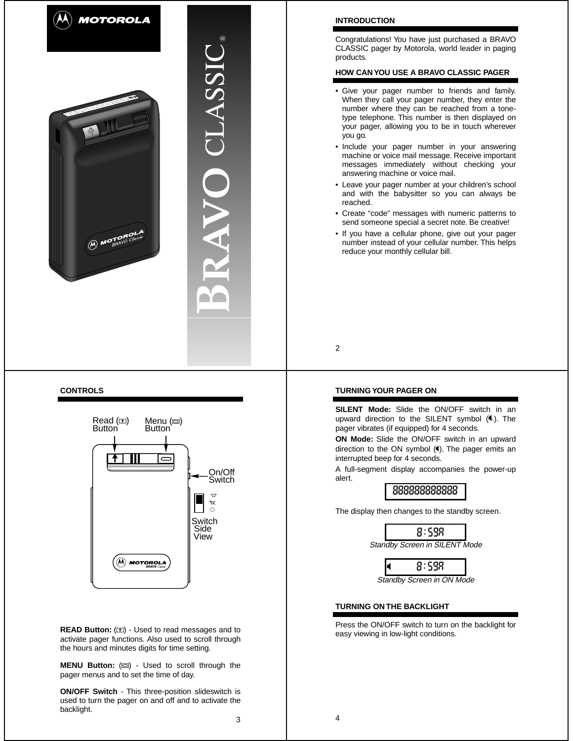

# **CONTROLS**



**READ Button:** ( $\boxed{\text{m}}$ ) - Used to read messages and to activate pager functions. Also used to scroll through the hours and minutes digits for time setting.

**MENU Button:** ( $\text{m}$ ) - Used to scroll through the pager menus and to set the time of day.

3 **ON/OFF Switch** - This three-position slideswitch is used to turn the pager on and off and to activate the backlight.

## **INTRODUCTION**

Congratulations! You have just purchased a BRAVO CLASSIC pager by Motorola, world leader in paging products.

# **HOW CAN YOU USE A BRAVO CLASSIC PAGER**

- Give your pager number to friends and family. When they call your pager number, they enter the number where they can be reached from a tonetype telephone. This number is then displayed on your pager, allowing you to be in touch wherever you go.
- Include your pager number in your answering machine or voice mail message. Receive important messages immediately without checking your answering machine or voice mail.
- Leave your pager number at your children's school and with the babysitter so you can always be reached.
- Create "code" messages with numeric patterns to send someone special a secret note. Be creative!
- If you have a cellular phone, give out your pager number instead of your cellular number. This helps reduce your monthly cellular bill.

2

## **TURNING YOUR PAGER ON**

**SILENT Mode:** Slide the ON/OFF switch in an upward direction to the SILENT symbol  $(\hat{\mathbf{K}})$ . The pager vibrates (if equipped) for 4 seconds.

**ON Mode:** Slide the ON/OFF switch in an upward direction to the ON symbol  $(4)$ . The pager emits an interrupted beep for 4 seconds.

A full-segment display accompanies the power-up alert.



The display then changes to the standby screen.



Standby Screen in ON Mode

### **TURNING ON THE BACKLIGHT**

Press the ON/OFF switch to turn on the backlight for easy viewing in low-light conditions.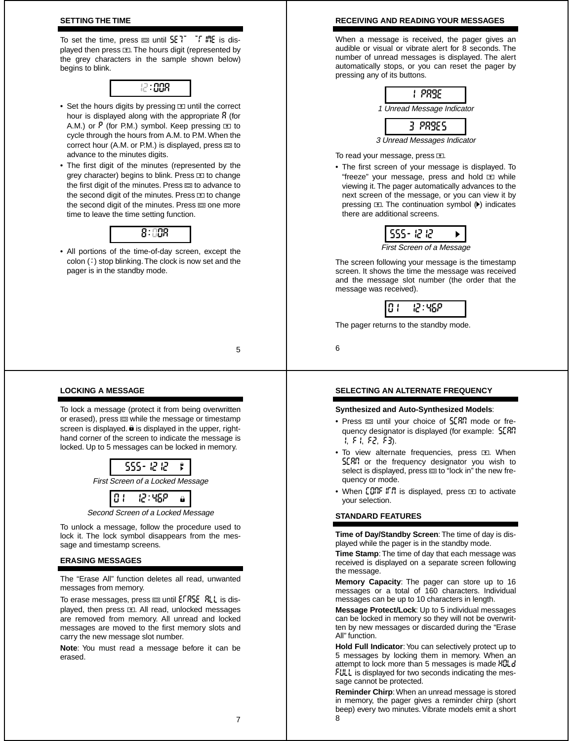## **SETTING THE TIME**

To set the time, press  $\equiv$  until  $5E$ <sup>T</sup> T. I. is displayed then press  $\mathbf{E}$ . The hours digit (represented by the grey characters in the sample shown below) begins to blink.



- Set the hours digits by pressing  $\equiv$  until the correct hour is displayed along with the appropriate  $\beta$  (for A.M.) or  $\overline{P}$  (for P.M.) symbol. Keep pressing  $\overline{P}$  to cycle through the hours from A.M. to P.M. When the correct hour (A.M. or P.M.) is displayed, press  $\equiv$  to advance to the minutes digits.
- The first digit of the minutes (represented by the grey character) begins to blink. Press E to change the first digit of the minutes. Press  $\equiv$  to advance to the second digit of the minutes. Press  $\overline{1}$  to change the second digit of the minutes. Press  $\equiv$  one more time to leave the time setting function.



• All portions of the time-of-day screen, except the  $color(i)$  stop blinking. The clock is now set and the pager is in the standby mode.

5

## **LOCKING A MESSAGE**

To lock a message (protect it from being overwritten or erased), press  $\equiv$  while the message or timestamp screen is displayed.  $\hat{\mathbf{e}}$  is displayed in the upper, righthand corner of the screen to indicate the message is locked. Up to 5 messages can be locked in memory.



Second Screen of a Locked Message

To unlock a message, follow the procedure used to lock it. The lock symbol disappears from the message and timestamp screens.

## **ERASING MESSAGES**

The "Erase All" function deletes all read, unwanted messages from memory.

To erase messages, press  $\equiv$  until  $EFRSE$  RLL is displayed, then press  $m$ . All read, unlocked messages are removed from memory. All unread and locked messages are moved to the first memory slots and carry the new message slot number.

**Note**: You must read a message before it can be erased.

#### **RECEIVING AND READING YOUR MESSAGES**

When a message is received, the pager gives an audible or visual or vibrate alert for 8 seconds. The number of unread messages is displayed. The alert automatically stops, or you can reset the pager by pressing any of its buttons.



#### To read your message, press  $E$ .

• The first screen of your message is displayed. To "freeze" your message, press and hold  $\overline{12}$  while viewing it. The pager automatically advances to the next screen of the message, or you can view it by pressing  $\text{m}$ . The continuation symbol  $(\blacktriangleright)$  indicates there are additional screens.

|  |  | First Screen of a Message |  |
|--|--|---------------------------|--|

The screen following your message is the timestamp screen. It shows the time the message was received and the message slot number (the order that the message was received).



The pager returns to the standby mode.

6

## **SELECTING AN ALTERNATE FREQUENCY**

#### **Synthesized and Auto-Synthesized Models**:

- Press  $\equiv$  until your choice of  $5E$ RR mode or frequency designator is displayed (for example: scan 1, f1, f2, f3).
- To view alternate frequencies, press **R. When** SCRR or the frequency designator you wish to select is displayed, press  $\equiv$  to "lock in" the new frequency or mode.
- When  $\text{COR}$  if it is displayed, press  $\text{I}$  to activate your selection.

## **STANDARD FEATURES**

**Time of Day/Standby Screen**: The time of day is displayed while the pager is in the standby mode.

**Time Stamp**: The time of day that each message was received is displayed on a separate screen following the message.

**Memory Capacity**: The pager can store up to 16 messages or a total of 160 characters. Individual messages can be up to 10 characters in length.

**Message Protect/Lock**: Up to 5 individual messages can be locked in memory so they will not be overwritten by new messages or discarded during the "Erase All" function.

**Hold Full Indicator**: You can selectively protect up to 5 messages by locking them in memory. When an attempt to lock more than 5 messages is made Huld FULL is displayed for two seconds indicating the message cannot be protected.

8 **Reminder Chirp**: When an unread message is stored in memory, the pager gives a reminder chirp (short beep) every two minutes. Vibrate models emit a short